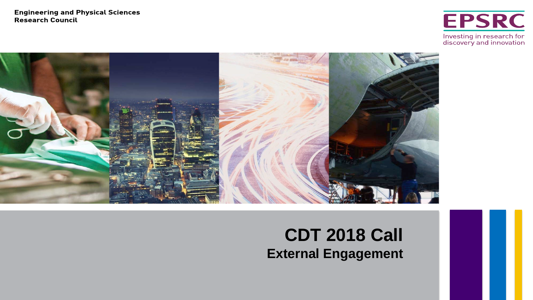**Engineering and Physical Sciences Research Council** 

**EPSRC** Investing in research for<br>discovery and innovation



## **CDT 2018 Call External Engagement**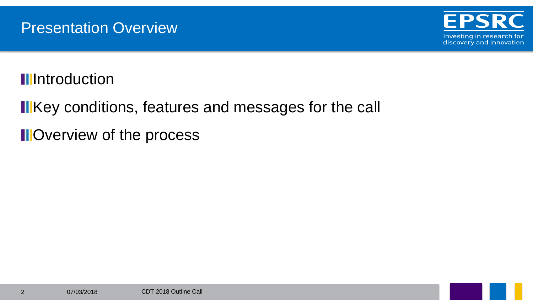

**Illentroduction** 

**IIKey conditions, features and messages for the call** 

**II**Overview of the process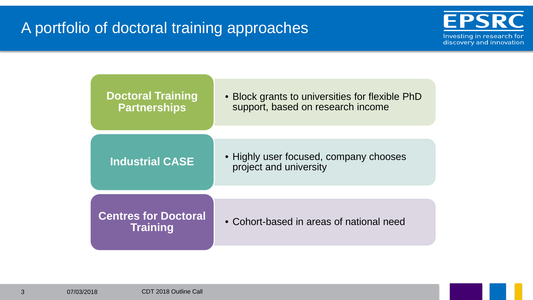## A portfolio of doctoral training approaches



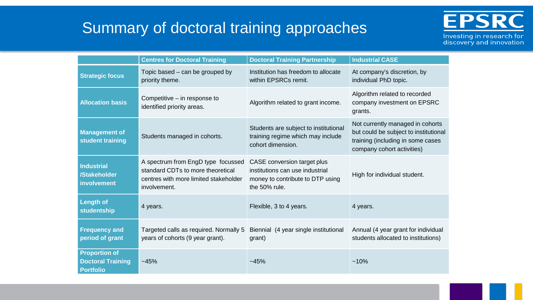## Summary of doctoral training approaches



**Centres for Doctoral Training | Doctoral Training Partnership | Industrial CASE Strategic focus** Topic based – can be grouped by priority theme. Institution has freedom to allocate within EPSRCs remit. At company's discretion, by individual PhD topic. Allocation basis **Competitive** – in response to dentified priority areas. Algorithm related to grant income. Algorithm related to recorded company investment on EPSRC grants. **Management of student training** Students managed in cohorts. Students are subject to institutional training regime which may include cohort dimension. Not currently managed in cohorts but could be subject to institutional training (including in some cases company cohort activities) **Industrial /Stakeholder involvement** A spectrum from EngD type focussed standard CDTs to more theoretical centres with more limited stakeholder involvement. CASE conversion target plus institutions can use industrial money to contribute to DTP using the 50% rule. High for individual student. **Length of studentship** 4 years. **A** 4 years. **A** 4 years. **Exible, 3 to 4 years.** 4 years. **Frequency and period of grant**  Targeted calls as required. Normally 5 years of cohorts (9 year grant). Biennial (4 year single institutional grant) Annual (4 year grant for individual students allocated to institutions) **Proportion of Doctoral Training Portfolio**  $\sim$ 45%  $\sim$  45%  $\sim$  45%  $\sim$  45%  $\sim$  10%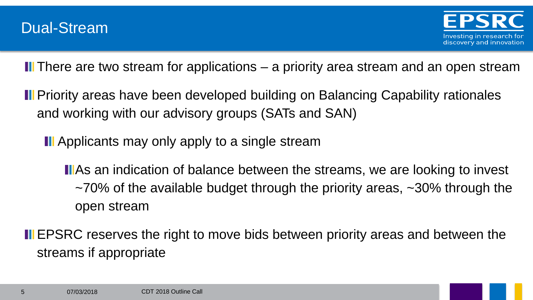**II** There are two stream for applications – a priority area stream and an open stream

**II** Priority areas have been developed building on Balancing Capability rationales and working with our advisory groups (SATs and SAN)

**II** Applicants may only apply to a single stream

**II**As an indication of balance between the streams, we are looking to invest  $\sim$ 70% of the available budget through the priority areas,  $\sim$ 30% through the open stream

**II** EPSRC reserves the right to move bids between priority areas and between the streams if appropriate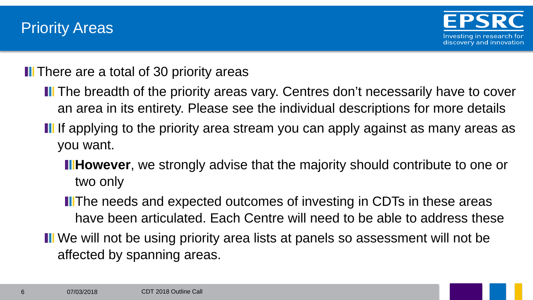**II** There are a total of 30 priority areas

- **II** The breadth of the priority areas vary. Centres don't necessarily have to cover an area in its entirety. Please see the individual descriptions for more details
- If If applying to the priority area stream you can apply against as many areas as you want.
	- **Hillet Fowever**, we strongly advise that the majority should contribute to one or two only
	- **ITHE needs and expected outcomes of investing in CDTs in these areas** have been articulated. Each Centre will need to be able to address these
- **II** We will not be using priority area lists at panels so assessment will not be affected by spanning areas.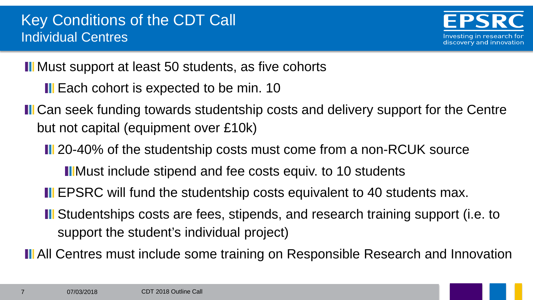**III** Must support at least 50 students, as five cohorts

- **II** Each cohort is expected to be min. 10
- **II** Can seek funding towards studentship costs and delivery support for the Centre but not capital (equipment over £10k)
	- **II** 20-40% of the studentship costs must come from a non-RCUK source
		- **IIMust include stipend and fee costs equiv. to 10 students**
	- **II** EPSRC will fund the studentship costs equivalent to 40 students max.
	- **II** Studentships costs are fees, stipends, and research training support (i.e. to support the student's individual project)
- **II** All Centres must include some training on Responsible Research and Innovation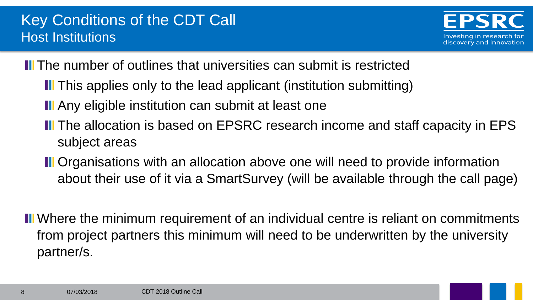**II** The number of outlines that universities can submit is restricted

- **I** This applies only to the lead applicant (institution submitting)
- **III** Any eligible institution can submit at least one
- **II** The allocation is based on EPSRC research income and staff capacity in EPS subject areas
- **II** Organisations with an allocation above one will need to provide information about their use of it via a SmartSurvey (will be available through the call page)
- **II** Where the minimum requirement of an individual centre is reliant on commitments from project partners this minimum will need to be underwritten by the university partner/s.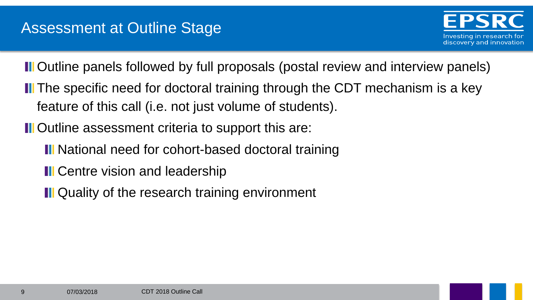**II** Outline panels followed by full proposals (postal review and interview panels)

- **II** The specific need for doctoral training through the CDT mechanism is a key feature of this call (i.e. not just volume of students).
- **II** Outline assessment criteria to support this are:
	- **II** National need for cohort-based doctoral training
	- **II** Centre vision and leadership
	- **III** Quality of the research training environment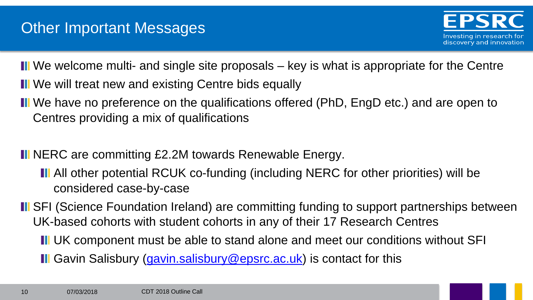**II** We welcome multi- and single site proposals – key is what is appropriate for the Centre **II** We will treat new and existing Centre bids equally

**II** We have no preference on the qualifications offered (PhD, EngD etc.) and are open to Centres providing a mix of qualifications

**II** NERC are committing £2.2M towards Renewable Energy.

- All other potential RCUK co-funding (including NERC for other priorities) will be considered case-by-case
- **II** SFI (Science Foundation Ireland) are committing funding to support partnerships between UK-based cohorts with student cohorts in any of their 17 Research Centres
	- **II** UK component must be able to stand alone and meet our conditions without SFI **III** Gavin Salisbury [\(gavin.salisbury@epsrc.ac.uk\)](mailto:gavin.Salisbury@epsrc.ac.uk) is contact for this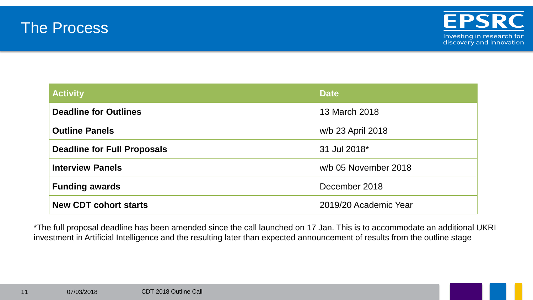



| <b>Activity</b>                    | <b>Date</b>           |
|------------------------------------|-----------------------|
| <b>Deadline for Outlines</b>       | 13 March 2018         |
| <b>Outline Panels</b>              | w/b 23 April 2018     |
| <b>Deadline for Full Proposals</b> | 31 Jul 2018*          |
| <b>Interview Panels</b>            | w/b 05 November 2018  |
| <b>Funding awards</b>              | December 2018         |
| <b>New CDT cohort starts</b>       | 2019/20 Academic Year |

\*The full proposal deadline has been amended since the call launched on 17 Jan. This is to accommodate an additional UKRI investment in Artificial Intelligence and the resulting later than expected announcement of results from the outline stage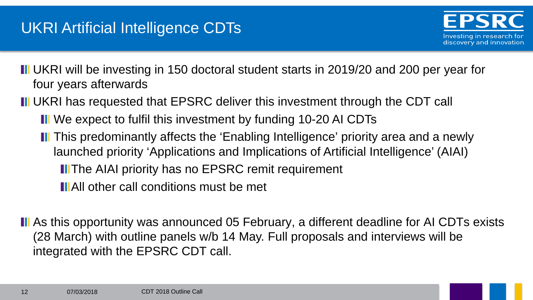**III** UKRI will be investing in 150 doctoral student starts in 2019/20 and 200 per year for four years afterwards

**II** UKRI has requested that EPSRC deliver this investment through the CDT call

- **III** We expect to fulfil this investment by funding 10-20 AI CDTs
- **II** This predominantly affects the 'Enabling Intelligence' priority area and a newly launched priority 'Applications and Implications of Artificial Intelligence' (AIAI) **II** The AIAI priority has no EPSRC remit requirement **IIAll other call conditions must be met**

**II** As this opportunity was announced 05 February, a different deadline for AI CDTs exists (28 March) with outline panels w/b 14 May. Full proposals and interviews will be integrated with the EPSRC CDT call.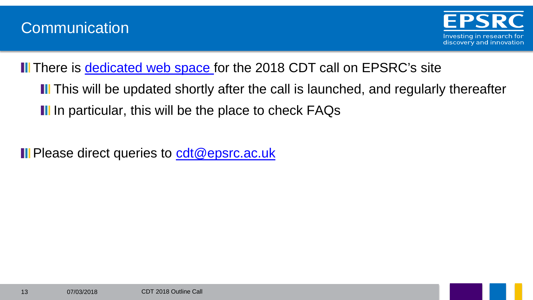



Ill There is [dedicated web space](https://www.epsrc.ac.uk/skills/students/centres/2018-cdt-exercise/) for the 2018 CDT call on EPSRC's site

**II** This will be updated shortly after the call is launched, and regularly thereafter III In particular, this will be the place to check FAQs

**II** Please direct queries to [cdt@epsrc.ac.uk](mailto:cdt@epsrc.ac.uk)